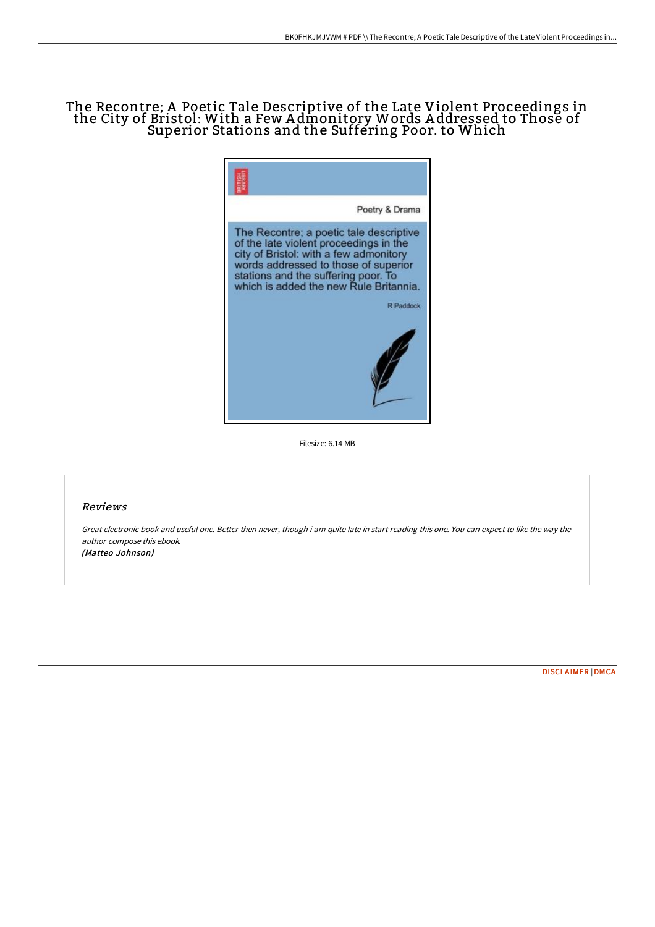## The Recontre; A Poetic Tale Descriptive of the Late Violent Proceedings in the City of Bristol: With a Few Admonitory Words Addressed to Those of Superior Stations and the Suffering Poor. to Which



Filesize: 6.14 MB

## Reviews

Great electronic book and useful one. Better then never, though i am quite late in start reading this one. You can expect to like the way the author compose this ebook. (Matteo Johnson)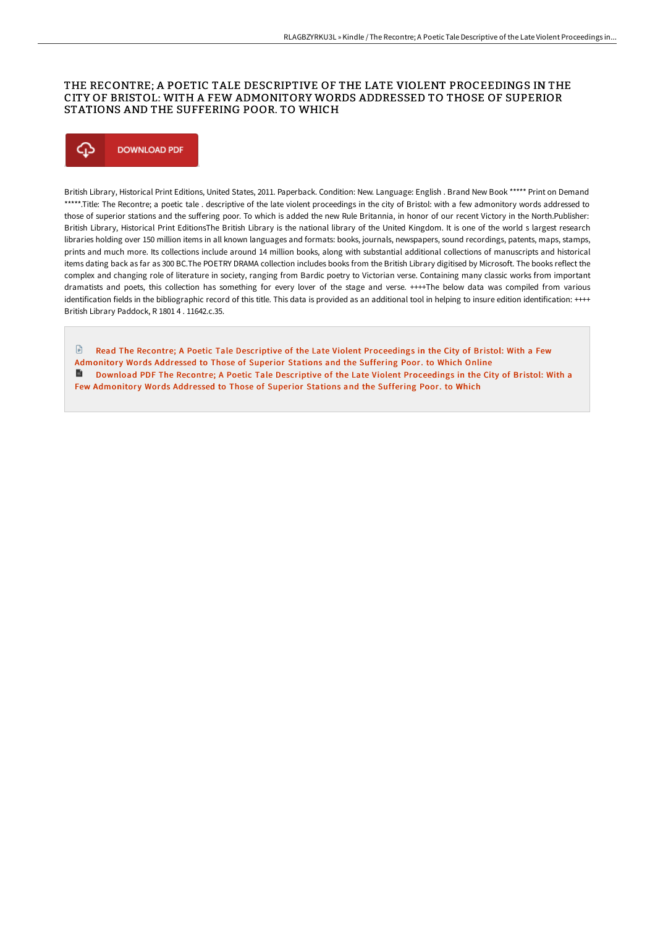## THE RECONTRE; A POETIC TALE DESCRIPTIVE OF THE LATE VIOLENT PROCEEDINGS IN THE CITY OF BRISTOL: WITH A FEW ADMONITORY WORDS ADDRESSED TO THOSE OF SUPERIOR STATIONS AND THE SUFFERING POOR. TO WHICH

# Φ **DOWNLOAD PDF**

British Library, Historical Print Editions, United States, 2011. Paperback. Condition: New. Language: English . Brand New Book \*\*\*\*\* Print on Demand \*\*\*\*\*.Title: The Recontre; a poetic tale, descriptive of the late violent proceedings in the city of Bristol: with a few admonitory words addressed to those of superior stations and the suffering poor. To which is added the new Rule Britannia, in honor of our recent Victory in the North.Publisher: British Library, Historical Print EditionsThe British Library is the national library of the United Kingdom. It is one of the world s largest research libraries holding over 150 million items in all known languages and formats: books, journals, newspapers, sound recordings, patents, maps, stamps, prints and much more. Its collections include around 14 million books, along with substantial additional collections of manuscripts and historical items dating back as far as 300 BC.The POETRY DRAMA collection includes books from the British Library digitised by Microsoft. The books reflect the complex and changing role of literature in society, ranging from Bardic poetry to Victorian verse. Containing many classic works from important dramatists and poets, this collection has something for every lover of the stage and verse. ++++The below data was compiled from various identification fields in the bibliographic record of this title. This data is provided as an additional tool in helping to insure edition identification: ++++ British Library Paddock, R 1801 4 . 11642.c.35.

 $\mathbb{R}$ Read The Recontre; A Poetic Tale Descriptive of the Late Violent [Proceedings](http://techno-pub.tech/the-recontre-a-poetic-tale-descriptive-of-the-la.html) in the City of Bristol: With a Few Admonitory Words Addressed to Those of Superior Stations and the Suffering Poor. to Which Online Download PDF The Recontre; A Poetic Tale Descriptive of the Late Violent [Proceedings](http://techno-pub.tech/the-recontre-a-poetic-tale-descriptive-of-the-la.html) in the City of Bristol: With a Few Admonitory Words Addressed to Those of Superior Stations and the Suffering Poor. to Which